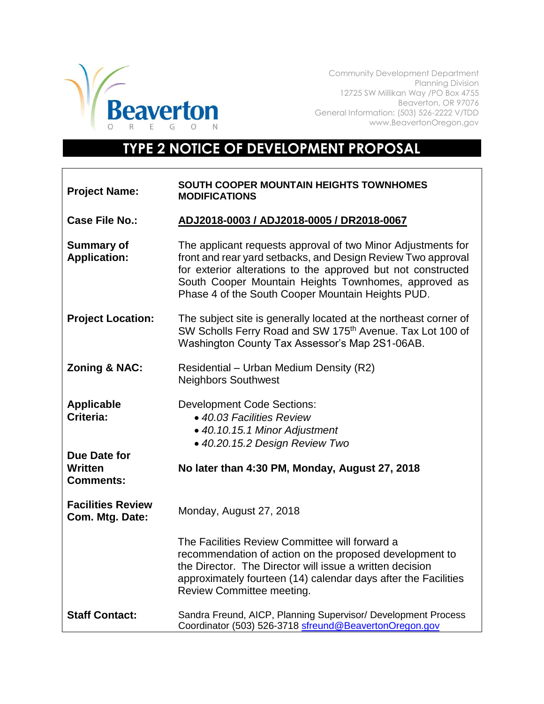

Community Development Department Planning Division 12725 SW Millikan Way /PO Box 4755 Beaverton, OR 97076 General Information: (503) 526-2222 V/TDD www.BeavertonOregon.gov

## **TYPE 2 NOTICE OF DEVELOPMENT PROPOSAL**

| <b>Project Name:</b>                        | SOUTH COOPER MOUNTAIN HEIGHTS TOWNHOMES<br><b>MODIFICATIONS</b>                                                                                                                                                                                                                                           |
|---------------------------------------------|-----------------------------------------------------------------------------------------------------------------------------------------------------------------------------------------------------------------------------------------------------------------------------------------------------------|
| <b>Case File No.:</b>                       | ADJ2018-0003 / ADJ2018-0005 / DR2018-0067                                                                                                                                                                                                                                                                 |
| <b>Summary of</b><br><b>Application:</b>    | The applicant requests approval of two Minor Adjustments for<br>front and rear yard setbacks, and Design Review Two approval<br>for exterior alterations to the approved but not constructed<br>South Cooper Mountain Heights Townhomes, approved as<br>Phase 4 of the South Cooper Mountain Heights PUD. |
| <b>Project Location:</b>                    | The subject site is generally located at the northeast corner of<br>SW Scholls Ferry Road and SW 175 <sup>th</sup> Avenue. Tax Lot 100 of<br>Washington County Tax Assessor's Map 2S1-06AB.                                                                                                               |
| <b>Zoning &amp; NAC:</b>                    | Residential - Urban Medium Density (R2)<br><b>Neighbors Southwest</b>                                                                                                                                                                                                                                     |
| <b>Applicable</b><br>Criteria:              | <b>Development Code Sections:</b><br>• 40.03 Facilities Review<br>• 40.10.15.1 Minor Adjustment<br>· 40.20.15.2 Design Review Two                                                                                                                                                                         |
| Due Date for<br>Written<br><b>Comments:</b> | No later than 4:30 PM, Monday, August 27, 2018                                                                                                                                                                                                                                                            |
| <b>Facilities Review</b><br>Com. Mtg. Date: | Monday, August 27, 2018                                                                                                                                                                                                                                                                                   |
|                                             | The Facilities Review Committee will forward a<br>recommendation of action on the proposed development to<br>the Director. The Director will issue a written decision<br>approximately fourteen (14) calendar days after the Facilities<br>Review Committee meeting.                                      |
| <b>Staff Contact:</b>                       | Sandra Freund, AICP, Planning Supervisor/ Development Process<br>Coordinator (503) 526-3718 sfreund@BeavertonOregon.gov                                                                                                                                                                                   |